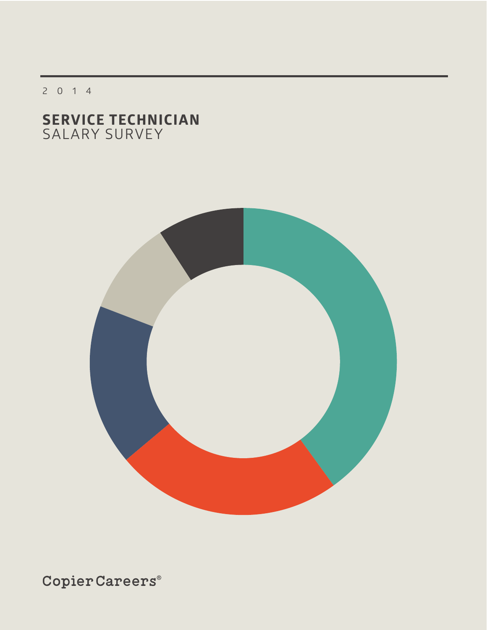2014

# **SERVICE TECHNICIAN** SALARY SURVEY

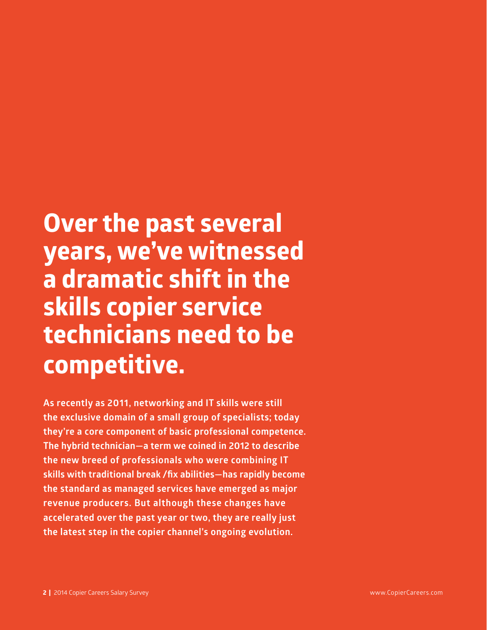# **Over the past several years, we've witnessed a dramatic shift in the skills copier service technicians need to be competitive.**

**As recently as 2011, networking and IT skills were still the exclusive domain of a small group of specialists; today they're a core component of basic professional competence. The hybrid technician—a term we coined in 2012 to describe the new breed of professionals who were combining IT skills with traditional break /fix abilities—has rapidly become the standard as managed services have emerged as major revenue producers. But although these changes have accelerated over the past year or two, they are really just the latest step in the copier channel's ongoing evolution.**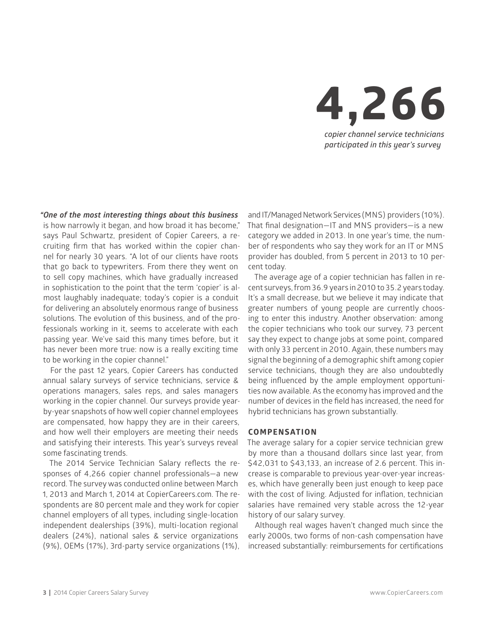

*"One of the most interesting things about this business* is how narrowly it began, and how broad it has become," says Paul Schwartz, president of Copier Careers, a recruiting firm that has worked within the copier channel for nearly 30 years. "A lot of our clients have roots that go back to typewriters. From there they went on to sell copy machines, which have gradually increased in sophistication to the point that the term 'copier' is almost laughably inadequate; today's copier is a conduit for delivering an absolutely enormous range of business solutions. The evolution of this business, and of the professionals working in it, seems to accelerate with each passing year. We've said this many times before, but it has never been more true: now is a really exciting time to be working in the copier channel."

For the past 12 years, Copier Careers has conducted annual salary surveys of service technicians, service & operations managers, sales reps, and sales managers working in the copier channel. Our surveys provide yearby-year snapshots of how well copier channel employees are compensated, how happy they are in their careers, and how well their employers are meeting their needs and satisfying their interests. This year's surveys reveal some fascinating trends.

The 2014 Service Technician Salary reflects the responses of 4,266 copier channel professionals—a new record. The survey was conducted online between March 1, 2013 and March 1, 2014 at CopierCareers.com. The respondents are 80 percent male and they work for copier channel employers of all types, including single-location independent dealerships (39%), multi-location regional dealers (24%), national sales & service organizations (9%), OEMs (17%), 3rd-party service organizations (1%),

and IT/Managed Network Services (MNS) providers (10%). That final designation—IT and MNS providers—is a new category we added in 2013. In one year's time, the number of respondents who say they work for an IT or MNS provider has doubled, from 5 percent in 2013 to 10 percent today.

The average age of a copier technician has fallen in recent surveys, from 36.9 years in 2010 to 35.2 years today. It's a small decrease, but we believe it may indicate that greater numbers of young people are currently choosing to enter this industry. Another observation: among the copier technicians who took our survey, 73 percent say they expect to change jobs at some point, compared with only 33 percent in 2010. Again, these numbers may signal the beginning of a demographic shift among copier service technicians, though they are also undoubtedly being influenced by the ample employment opportunities now available. As the economy has improved and the number of devices in the field has increased, the need for hybrid technicians has grown substantially.

#### **COMPENSATION**

The average salary for a copier service technician grew by more than a thousand dollars since last year, from \$42,031 to \$43,133, an increase of 2.6 percent. This increase is comparable to previous year-over-year increases, which have generally been just enough to keep pace with the cost of living. Adjusted for inflation, technician salaries have remained very stable across the 12-year history of our salary survey.

Although real wages haven't changed much since the early 2000s, two forms of non-cash compensation have increased substantially: reimbursements for certifications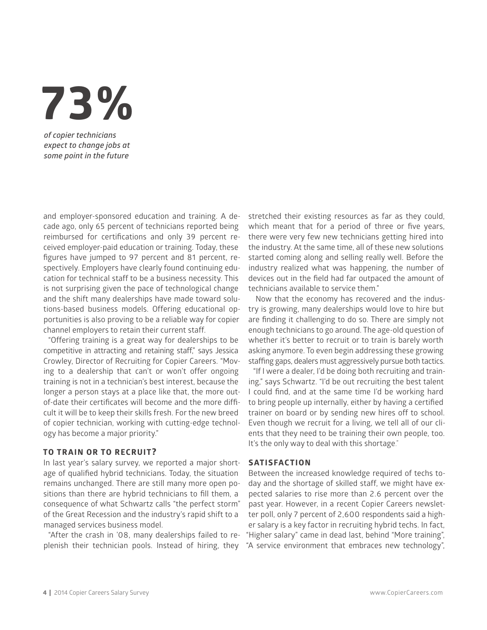**73%**

*of copier technicians expect to change jobs at some point in the future*

and employer-sponsored education and training. A decade ago, only 65 percent of technicians reported being reimbursed for certifications and only 39 percent received employer-paid education or training. Today, these figures have jumped to 97 percent and 81 percent, respectively. Employers have clearly found continuing education for technical staff to be a business necessity. This is not surprising given the pace of technological change and the shift many dealerships have made toward solutions-based business models. Offering educational opportunities is also proving to be a reliable way for copier channel employers to retain their current staff.

"Offering training is a great way for dealerships to be competitive in attracting and retaining staff," says Jessica Crowley, Director of Recruiting for Copier Careers. "Moving to a dealership that can't or won't offer ongoing training is not in a technician's best interest, because the longer a person stays at a place like that, the more outof-date their certificates will become and the more difficult it will be to keep their skills fresh. For the new breed of copier technician, working with cutting-edge technology has become a major priority."

#### **TO TRAIN OR TO RECRUIT?**

In last year's salary survey, we reported a major shortage of qualified hybrid technicians. Today, the situation remains unchanged. There are still many more open positions than there are hybrid technicians to fill them, a consequence of what Schwartz calls "the perfect storm" of the Great Recession and the industry's rapid shift to a managed services business model.

"After the crash in '08, many dealerships failed to replenish their technician pools. Instead of hiring, they "A service environment that embraces new technology",

stretched their existing resources as far as they could, which meant that for a period of three or five years, there were very few new technicians getting hired into the industry. At the same time, all of these new solutions started coming along and selling really well. Before the industry realized what was happening, the number of devices out in the field had far outpaced the amount of technicians available to service them."

Now that the economy has recovered and the industry is growing, many dealerships would love to hire but are finding it challenging to do so. There are simply not enough technicians to go around. The age-old question of whether it's better to recruit or to train is barely worth asking anymore. To even begin addressing these growing staffing gaps, dealers must aggressively pursue both tactics.

"If I were a dealer, I'd be doing both recruiting and training," says Schwartz. "I'd be out recruiting the best talent I could find, and at the same time I'd be working hard to bring people up internally, either by having a certified trainer on board or by sending new hires off to school. Even though we recruit for a living, we tell all of our clients that they need to be training their own people, too. It's the only way to deal with this shortage."

#### **Satisfaction**

Between the increased knowledge required of techs today and the shortage of skilled staff, we might have expected salaries to rise more than 2.6 percent over the past year. However, in a recent Copier Careers newsletter poll, only 7 percent of 2,600 respondents said a higher salary is a key factor in recruiting hybrid techs. In fact, "Higher salary" came in dead last, behind "More training",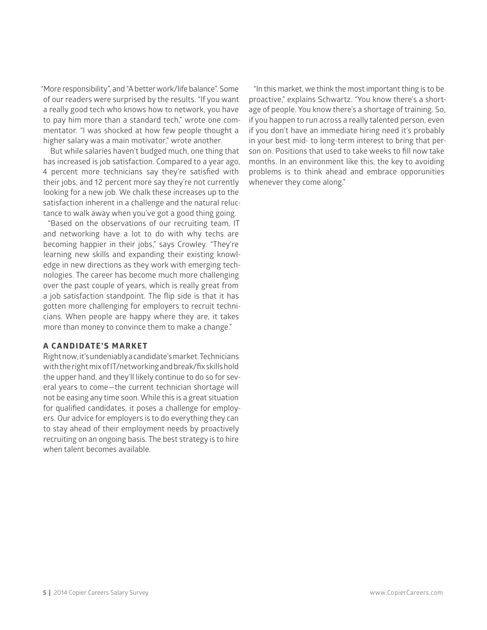"More responsibility", and "A better work/life balance". Some of our readers were surprised by the results. "If you want a really good tech who knows how to network, you have to pay him more than a standard tech," wrote one commentator. "I was shocked at how few people thought a higher salary was a main motivator," wrote another.

But while salaries haven't budged much, one thing that has increased is job satisfaction. Compared to a year ago, 4 percent more technicians say they're satisfied with their jobs, and 12 percent more say they're not currently looking for a new job. We chalk these increases up to the satisfaction inherent in a challenge and the natural reluctance to walk away when you've got a good thing going.

"Based on the observations of our recruiting team, IT and networking have a lot to do with why techs are becoming happier in their jobs," says Crowley. "They're learning new skills and expanding their existing knowledge in new directions as they work with emerging technologies. The career has become much more challenging over the past couple of years, which is really great from a job satisfaction standpoint. The flip side is that it has gotten more challenging for employers to recruit technicians. When people are happy where they are, it takes more than money to convince them to make a change."

#### **A CANDIDATE'S MARKET**

Right now, it's undeniably a candidate's market. Technicians with the right mix of IT/networking and break/fix skills hold the upper hand, and they'll likely continue to do so for several years to come—the current technician shortage will not be easing any time soon. While this is a great situation for qualified candidates, it poses a challenge for employers. Our advice for employers is to do everything they can to stay ahead of their employment needs by proactively recruiting on an ongoing basis. The best strategy is to hire when talent becomes available.

"In this market, we think the most important thing is to be proactive," explains Schwartz. "You know there's a shortage of people. You know there's a shortage of training. So, if you happen to run across a really talented person, even if you don't have an immediate hiring need it's probably in your best mid- to long-term interest to bring that person on. Positions that used to take weeks to fill now take months. In an environment like this, the key to avoiding problems is to think ahead and embrace opporunities whenever they come along."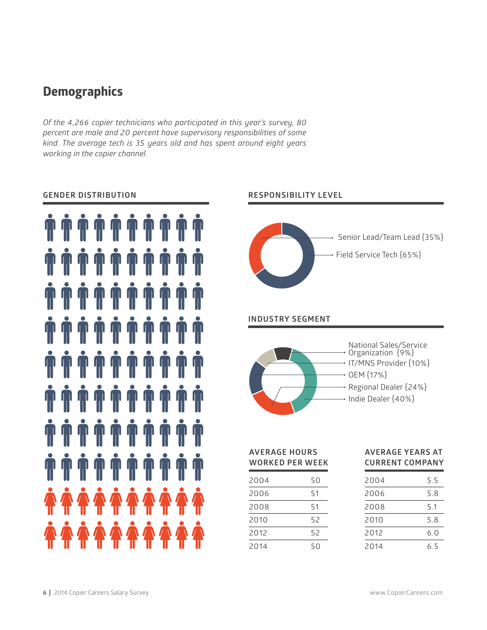# **Demographics**

*Of the 4,266 copier technicians who participated in this year's survey, 80 percent are male and 20 percent have supervisory responsibilities of some kind. The average tech is 35 years old and has spent around eight years working in the copier channel.*







**Average Hours worked per week**

| 2004 | 50 |  |
|------|----|--|
| 2006 | 51 |  |
| 2008 | 51 |  |
| 2010 | 52 |  |
| 2012 | 52 |  |
| 2014 | 50 |  |

#### **Average years at current company**

| 2004 | 5.5 |
|------|-----|
| 2006 | 5.8 |
| 2008 | 5.1 |
| 2010 | 5.8 |
| 2012 | 6.0 |
| 2014 | 6.5 |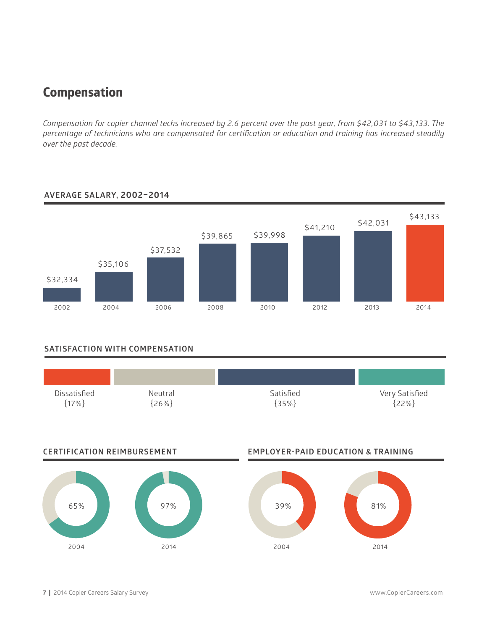# **Compensation**

*Compensation for copier channel techs increased by 2.6 percent over the past year, from \$42,031 to \$43,133. The percentage of technicians who are compensated for certification or education and training has increased steadily over the past decade.*



## **Average salary, 2002–2014**

### **Satisfaction WITH COMPENSATION**

| Dissatisfied | Neutral | Satisfied | Very Satisfied |
|--------------|---------|-----------|----------------|
| ${17\%}$     | $26\%$  | ${35%}$   | ${22\%}$       |